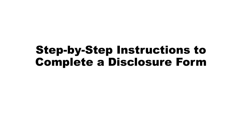## Step-by-Step Instructions to Complete a Disclosure Form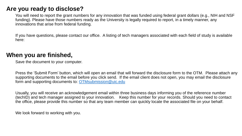## **Are you ready to disclose?**

You will need to report the grant numbers for any innovation that was funded using federal grant dollars (e.g., NIH and NSF funding). Please have those numbers ready as the University is legally required to report, in a timely manner, any innovations that arise from federal funding.

If you have questions, please contact our office. A listing of tech managers associated with each field of study is available here:

## **When you are finished,**

Save the document to your computer.

Press the 'Submit Form' button, which will open an email that will forward the disclosure form to the OTM. Please attach any supporting documents to the email before you click send. If the email client does not open, you may email the disclosure form and supporting documents to: [OTMsubmission@uic.edu](mailto:OTMsubmission@uic.edu)

Usually, you will receive an acknowledgement email within three business days informing you of the reference number (techID) and tech manager assigned to your innovation. Keep this number for your records. Should you need to contact the office, please provide this number so that any team member can quickly locate the associated file on your behalf.

We look forward to working with you.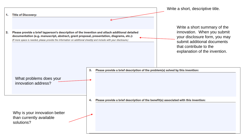| Write a short summary of the                                                         |
|--------------------------------------------------------------------------------------|
| innovation. When you submit<br>your disclosure form, you may                         |
| submit additional documents                                                          |
| that contribute to the<br>explanation of the invention.                              |
|                                                                                      |
| Please provide a brief description of the problem(s) solved by this invention:       |
|                                                                                      |
|                                                                                      |
|                                                                                      |
|                                                                                      |
| Please provide a brief description of the benefit(s) associated with this invention: |
|                                                                                      |
|                                                                                      |
|                                                                                      |
|                                                                                      |
|                                                                                      |
|                                                                                      |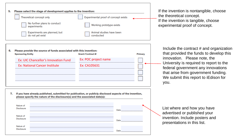| Please select the stage of development applies to the invention:<br>5.                                    |                                         |                |
|-----------------------------------------------------------------------------------------------------------|-----------------------------------------|----------------|
| Theoretical concept only                                                                                  | Experimental proof of concept exists    |                |
| No further plans to conduct<br>experiments                                                                | Working prototype exists                |                |
| Experiments are planned, but<br>do not yet exist                                                          | Animal studies have been<br>conducted   |                |
| Please provide the source of funds associated with this invention:                                        |                                         |                |
| 6.                                                                                                        |                                         |                |
| <b>Sponsoring Entity</b><br>Ex: UIC Chancellor's Innovation Fund                                          | Grant/Contract#<br>Ex: POC project name | <b>Primary</b> |
| <b>Ex: National Cancer Institute</b>                                                                      | Ex: CA105631                            |                |
|                                                                                                           |                                         |                |
|                                                                                                           |                                         |                |
|                                                                                                           |                                         |                |
|                                                                                                           |                                         |                |
| If you have already published, submitted for publication, or publicly disclosed aspects of the invention, |                                         |                |
| 7.<br>please specify the nature of the disclosure(s) and the associated date(s):                          |                                         |                |

If the invention is nontangible, choose the theoretical concept. If the invention is tangible, choose experimental proof of concept.

Include the contract # and organization that provided the funds to develop this innovation. Please note, the University is required to report to the federal government any innovations that arise from government funding. We submit this report to iEdison for you.

| Nature of<br>Disclosure | Date |
|-------------------------|------|
| Nature of<br>Disclosure | Date |
| Nature of<br>Disclosure | Date |

List where and how you have advertised or published your invention. Include posters and presentations in this list.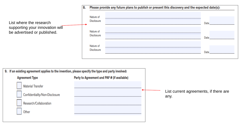

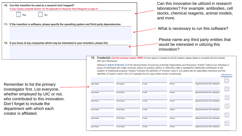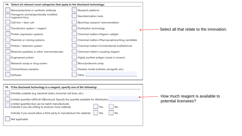